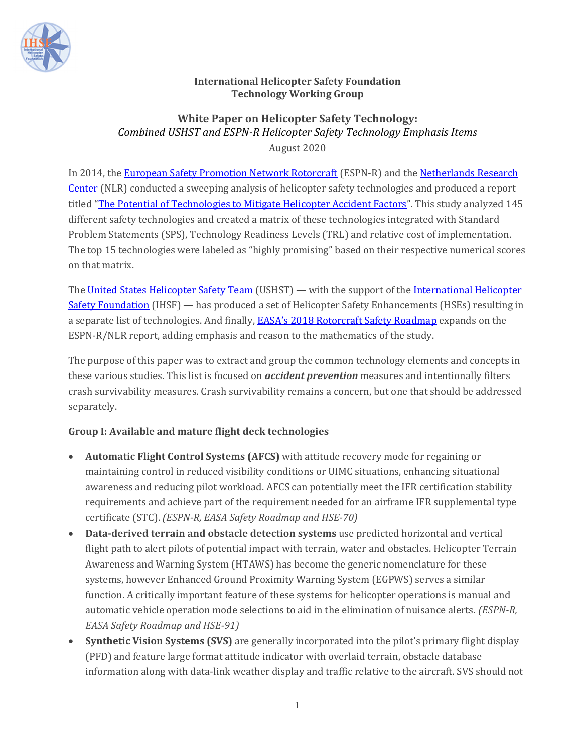

#### **International Helicopter Safety Foundation Technology Working Group**

### **White Paper on Helicopter Safety Technology:** *Combined USHST and ESPN‐R Helicopter Safety Technology Emphasis Items* August 2020

In 2014, the European Safety Promotion Network Rotorcraft (ESPN-R) and the Netherlands Research Center (NLR) conducted a sweeping analysis of helicopter safety technologies and produced a report titled "The Potential of Technologies to Mitigate Helicopter Accident Factors". This study analyzed 145 different safety technologies and created a matrix of these technologies integrated with Standard Problem Statements (SPS), Technology Readiness Levels (TRL) and relative cost of implementation. The top 15 technologies were labeled as "highly promising" based on their respective numerical scores on that matrix.

The United States Helicopter Safety Team (USHST) — with the support of the International Helicopter Safety Foundation (IHSF) — has produced a set of Helicopter Safety Enhancements (HSEs) resulting in a separate list of technologies. And finally, EASA's 2018 Rotorcraft Safety Roadmap expands on the ESPN-R/NLR report, adding emphasis and reason to the mathematics of the study.

The purpose of this paper was to extract and group the common technology elements and concepts in these various studies. This list is focused on *accident prevention* measures and intentionally filters crash survivability measures. Crash survivability remains a concern, but one that should be addressed separately.

# **Group I: Available and mature flight deck technologies**

- **Automatic Flight Control Systems (AFCS)** with attitude recovery mode for regaining or maintaining control in reduced visibility conditions or UIMC situations, enhancing situational awareness and reducing pilot workload. AFCS can potentially meet the IFR certification stability requirements and achieve part of the requirement needed for an airframe IFR supplemental type certificate (STC). *(ESPN‐R, EASA Safety Roadmap and HSE‐70)*
- **Data‐derived terrain and obstacle detection systems** use predicted horizontal and vertical flight path to alert pilots of potential impact with terrain, water and obstacles. Helicopter Terrain Awareness and Warning System (HTAWS) has become the generic nomenclature for these systems, however Enhanced Ground Proximity Warning System (EGPWS) serves a similar function. A critically important feature of these systems for helicopter operations is manual and automatic vehicle operation mode selections to aid in the elimination of nuisance alerts. *(ESPN‐R, EASA Safety Roadmap and HSE‐91)*
- **Synthetic Vision Systems (SVS)** are generally incorporated into the pilot's primary flight display (PFD) and feature large format attitude indicator with overlaid terrain, obstacle database information along with data-link weather display and traffic relative to the aircraft. SVS should not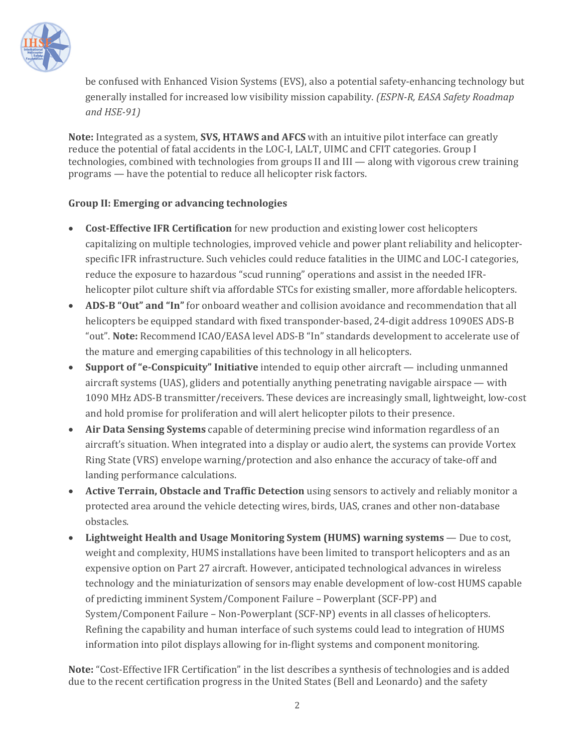

be confused with Enhanced Vision Systems (EVS), also a potential safety-enhancing technology but generally installed for increased low visibility mission capability. *(ESPN‐R, EASA Safety Roadmap and HSE‐91)*

**Note:** Integrated as a system, **SVS, HTAWS and AFCS** with an intuitive pilot interface can greatly reduce the potential of fatal accidents in the LOC-I, LALT, UIMC and CFIT categories. Group I technologies, combined with technologies from groups II and III — along with vigorous crew training programs — have the potential to reduce all helicopter risk factors.

#### **Group II: Emerging or advancing technologies**

- **Cost‐Effective IFR Certification** for new production and existing lower cost helicopters capitalizing on multiple technologies, improved vehicle and power plant reliability and helicopterspecific IFR infrastructure. Such vehicles could reduce fatalities in the UIMC and LOC-I categories, reduce the exposure to hazardous "scud running" operations and assist in the needed IFRhelicopter pilot culture shift via affordable STCs for existing smaller, more affordable helicopters.
- **ADS‐B "Out" and "In"** for onboard weather and collision avoidance and recommendation that all helicopters be equipped standard with fixed transponder-based, 24-digit address 1090ES ADS-B "out". **Note:** Recommend ICAO/EASA level ADS-B "In" standards development to accelerate use of the mature and emerging capabilities of this technology in all helicopters.
- **Support of "e‐Conspicuity" Initiative** intended to equip other aircraft including unmanned aircraft systems (UAS), gliders and potentially anything penetrating navigable airspace — with 1090 MHz ADS-B transmitter/receivers. These devices are increasingly small, lightweight, low-cost and hold promise for proliferation and will alert helicopter pilots to their presence.
- **Air Data Sensing Systems** capable of determining precise wind information regardless of an aircraft's situation. When integrated into a display or audio alert, the systems can provide Vortex Ring State (VRS) envelope warning/protection and also enhance the accuracy of take-off and landing performance calculations.
- **Active Terrain, Obstacle and Traffic Detection** using sensors to actively and reliably monitor a protected area around the vehicle detecting wires, birds, UAS, cranes and other non-database obstacles.
- **Lightweight Health and Usage Monitoring System (HUMS) warning systems** Due to cost, weight and complexity, HUMS installations have been limited to transport helicopters and as an expensive option on Part 27 aircraft. However, anticipated technological advances in wireless technology and the miniaturization of sensors may enable development of low-cost HUMS capable of predicting imminent System/Component Failure – Powerplant (SCF-PP) and System/Component Failure – Non-Powerplant (SCF-NP) events in all classes of helicopters. Refining the capability and human interface of such systems could lead to integration of HUMS information into pilot displays allowing for in-flight systems and component monitoring.

**Note:** "Cost-Effective IFR Certification" in the list describes a synthesis of technologies and is added due to the recent certification progress in the United States (Bell and Leonardo) and the safety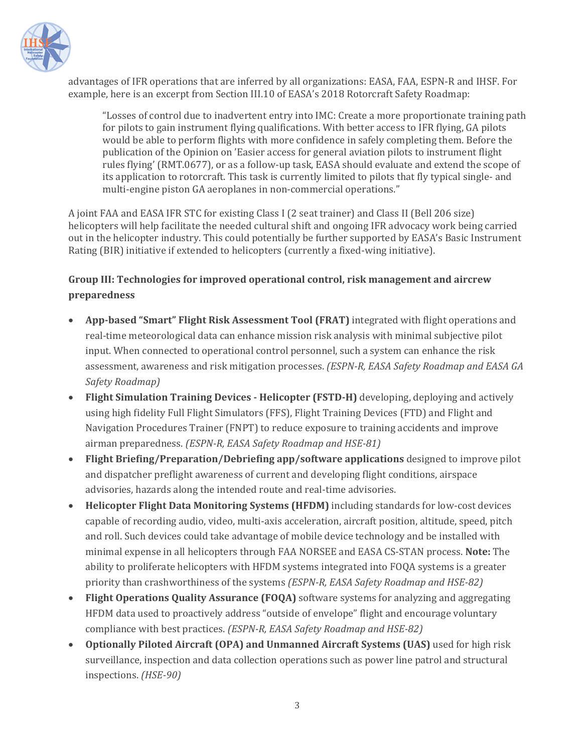

advantages of IFR operations that are inferred by all organizations: EASA, FAA, ESPN-R and IHSF. For example, here is an excerpt from Section III.10 of EASA's 2018 Rotorcraft Safety Roadmap:

"Losses of control due to inadvertent entry into IMC: Create a more proportionate training path for pilots to gain instrument flying qualifications. With better access to IFR flying, GA pilots would be able to perform flights with more confidence in safely completing them. Before the publication of the Opinion on 'Easier access for general aviation pilots to instrument flight rules flying' (RMT.0677), or as a follow-up task, EASA should evaluate and extend the scope of its application to rotorcraft. This task is currently limited to pilots that fly typical single- and multi-engine piston GA aeroplanes in non-commercial operations."

A joint FAA and EASA IFR STC for existing Class I (2 seat trainer) and Class II (Bell 206 size) helicopters will help facilitate the needed cultural shift and ongoing IFR advocacy work being carried out in the helicopter industry. This could potentially be further supported by EASA's Basic Instrument Rating (BIR) initiative if extended to helicopters (currently a fixed-wing initiative).

# **Group III: Technologies for improved operational control, risk management and aircrew preparedness**

- **App‐based "Smart" Flight Risk Assessment Tool (FRAT)** integrated with flight operations and real-time meteorological data can enhance mission risk analysis with minimal subjective pilot input. When connected to operational control personnel, such a system can enhance the risk assessment, awareness and risk mitigation processes. *(ESPN‐R, EASA Safety Roadmap and EASA GA Safety Roadmap)*
- **Flight Simulation Training Devices ‐ Helicopter (FSTD‐H)** developing, deploying and actively using high fidelity Full Flight Simulators (FFS), Flight Training Devices (FTD) and Flight and Navigation Procedures Trainer (FNPT) to reduce exposure to training accidents and improve airman preparedness. *(ESPN‐R, EASA Safety Roadmap and HSE‐81)*
- **Flight Briefing/Preparation/Debriefing app/software applications** designed to improve pilot and dispatcher preflight awareness of current and developing flight conditions, airspace advisories, hazards along the intended route and real-time advisories.
- **Helicopter Flight Data Monitoring Systems (HFDM)** including standards for low-cost devices capable of recording audio, video, multi-axis acceleration, aircraft position, altitude, speed, pitch and roll. Such devices could take advantage of mobile device technology and be installed with minimal expense in all helicopters through FAA NORSEE and EASA CS-STAN process. **Note:** The ability to proliferate helicopters with HFDM systems integrated into FOQA systems is a greater priority than crashworthiness of the systems *(ESPN‐R, EASA Safety Roadmap and HSE‐82)*
- **Flight Operations Quality Assurance (FOQA)** software systems for analyzing and aggregating HFDM data used to proactively address "outside of envelope" flight and encourage voluntary compliance with best practices. *(ESPN‐R, EASA Safety Roadmap and HSE‐82)*
- **Optionally Piloted Aircraft (OPA) and Unmanned Aircraft Systems (UAS)** used for high risk surveillance, inspection and data collection operations such as power line patrol and structural inspections. *(HSE‐90)*